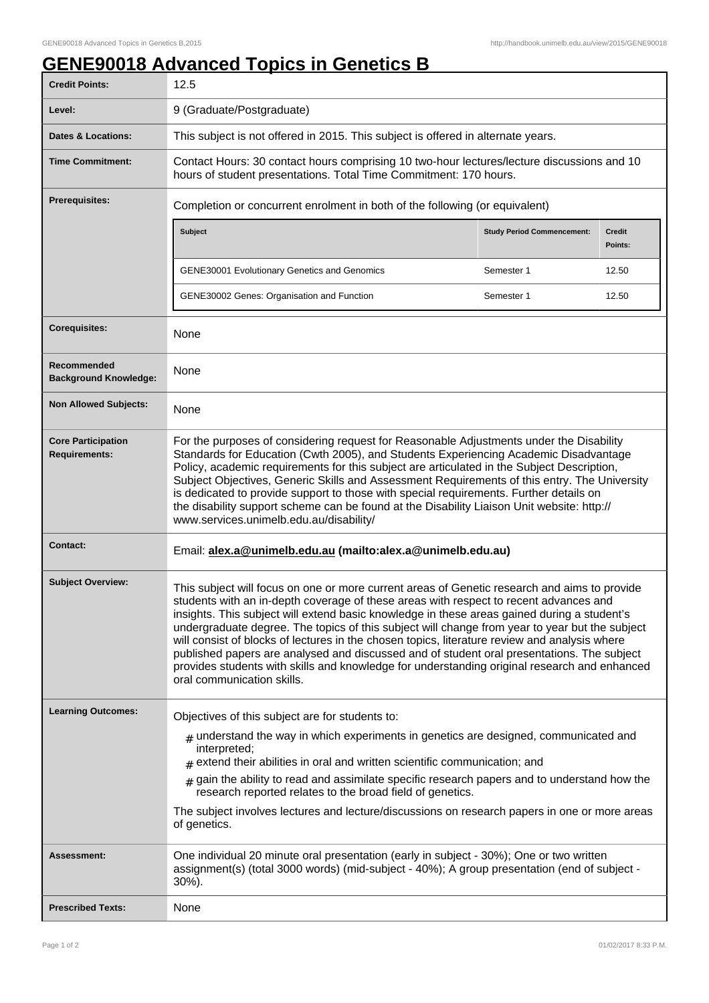## **GENE90018 Advanced Topics in Genetics B**

| <b>Credit Points:</b>                             | 12.5                                                                                                                                                                                                                                                                                                                                                                                                                                                                                                                                                                                                                                                                                                                |                                   |                          |
|---------------------------------------------------|---------------------------------------------------------------------------------------------------------------------------------------------------------------------------------------------------------------------------------------------------------------------------------------------------------------------------------------------------------------------------------------------------------------------------------------------------------------------------------------------------------------------------------------------------------------------------------------------------------------------------------------------------------------------------------------------------------------------|-----------------------------------|--------------------------|
| Level:                                            | 9 (Graduate/Postgraduate)                                                                                                                                                                                                                                                                                                                                                                                                                                                                                                                                                                                                                                                                                           |                                   |                          |
| Dates & Locations:                                | This subject is not offered in 2015. This subject is offered in alternate years.                                                                                                                                                                                                                                                                                                                                                                                                                                                                                                                                                                                                                                    |                                   |                          |
| <b>Time Commitment:</b>                           | Contact Hours: 30 contact hours comprising 10 two-hour lectures/lecture discussions and 10<br>hours of student presentations. Total Time Commitment: 170 hours.                                                                                                                                                                                                                                                                                                                                                                                                                                                                                                                                                     |                                   |                          |
| <b>Prerequisites:</b>                             | Completion or concurrent enrolment in both of the following (or equivalent)                                                                                                                                                                                                                                                                                                                                                                                                                                                                                                                                                                                                                                         |                                   |                          |
|                                                   | Subject                                                                                                                                                                                                                                                                                                                                                                                                                                                                                                                                                                                                                                                                                                             | <b>Study Period Commencement:</b> | <b>Credit</b><br>Points: |
|                                                   | <b>GENE30001 Evolutionary Genetics and Genomics</b>                                                                                                                                                                                                                                                                                                                                                                                                                                                                                                                                                                                                                                                                 | Semester 1                        | 12.50                    |
|                                                   | GENE30002 Genes: Organisation and Function                                                                                                                                                                                                                                                                                                                                                                                                                                                                                                                                                                                                                                                                          | Semester 1                        | 12.50                    |
| <b>Corequisites:</b>                              | None                                                                                                                                                                                                                                                                                                                                                                                                                                                                                                                                                                                                                                                                                                                |                                   |                          |
| Recommended<br><b>Background Knowledge:</b>       | None                                                                                                                                                                                                                                                                                                                                                                                                                                                                                                                                                                                                                                                                                                                |                                   |                          |
| <b>Non Allowed Subjects:</b>                      | None                                                                                                                                                                                                                                                                                                                                                                                                                                                                                                                                                                                                                                                                                                                |                                   |                          |
| <b>Core Participation</b><br><b>Requirements:</b> | For the purposes of considering request for Reasonable Adjustments under the Disability<br>Standards for Education (Cwth 2005), and Students Experiencing Academic Disadvantage<br>Policy, academic requirements for this subject are articulated in the Subject Description,<br>Subject Objectives, Generic Skills and Assessment Requirements of this entry. The University<br>is dedicated to provide support to those with special requirements. Further details on<br>the disability support scheme can be found at the Disability Liaison Unit website: http://<br>www.services.unimelb.edu.au/disability/                                                                                                    |                                   |                          |
| <b>Contact:</b>                                   | Email: alex.a@unimelb.edu.au (mailto:alex.a@unimelb.edu.au)                                                                                                                                                                                                                                                                                                                                                                                                                                                                                                                                                                                                                                                         |                                   |                          |
| <b>Subject Overview:</b>                          | This subject will focus on one or more current areas of Genetic research and aims to provide<br>students with an in-depth coverage of these areas with respect to recent advances and<br>insights. This subject will extend basic knowledge in these areas gained during a student's<br>undergraduate degree. The topics of this subject will change from year to year but the subject<br>will consist of blocks of lectures in the chosen topics, literature review and analysis where<br>published papers are analysed and discussed and of student oral presentations. The subject<br>provides students with skills and knowledge for understanding original research and enhanced<br>oral communication skills. |                                   |                          |
| <b>Learning Outcomes:</b>                         | Objectives of this subject are for students to:                                                                                                                                                                                                                                                                                                                                                                                                                                                                                                                                                                                                                                                                     |                                   |                          |
|                                                   | $_{\text{\#}}$ understand the way in which experiments in genetics are designed, communicated and<br>interpreted;<br>$#$ extend their abilities in oral and written scientific communication; and<br>$_{\#}$ gain the ability to read and assimilate specific research papers and to understand how the                                                                                                                                                                                                                                                                                                                                                                                                             |                                   |                          |
|                                                   | research reported relates to the broad field of genetics.<br>The subject involves lectures and lecture/discussions on research papers in one or more areas<br>of genetics.                                                                                                                                                                                                                                                                                                                                                                                                                                                                                                                                          |                                   |                          |
| Assessment:                                       | One individual 20 minute oral presentation (early in subject - 30%); One or two written<br>assignment(s) (total 3000 words) (mid-subject - 40%); A group presentation (end of subject -<br>$30\%$ ).                                                                                                                                                                                                                                                                                                                                                                                                                                                                                                                |                                   |                          |
| <b>Prescribed Texts:</b>                          | None                                                                                                                                                                                                                                                                                                                                                                                                                                                                                                                                                                                                                                                                                                                |                                   |                          |